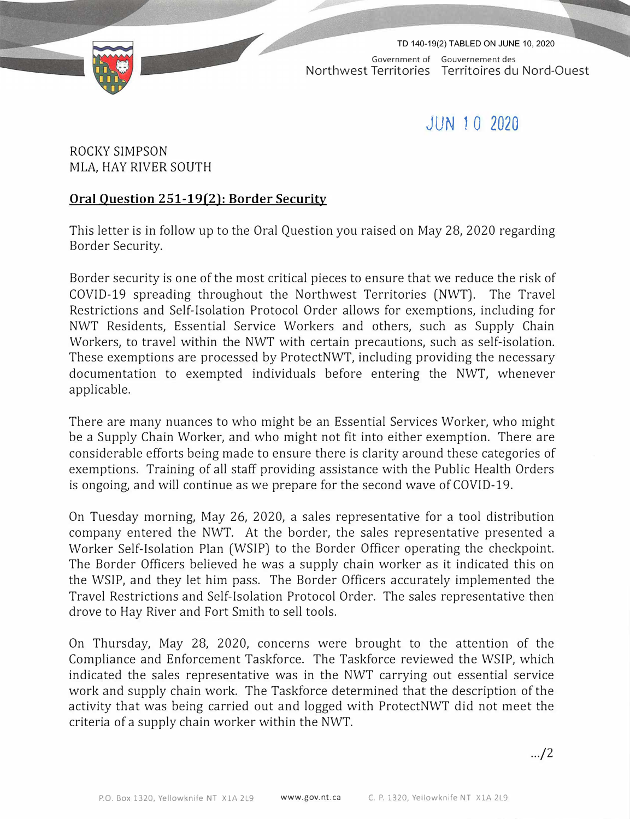

Government of Gouvernement des Northwest Territories Territoires du Nord-Quest TD 140-19(2) TABLED ON JUNE 10, 2020

## **JUN** *1* **0 2020**

ROCKY SIMPSON MLA, HAY RIVER SOUTH

## **Oral Question 251-19(2): Border Security**

This letter is in follow up to the Oral Question you raised on May 28, 2020 regarding Border Security.

Border security is one of the most critical pieces to ensure that we reduce the risk of COVID-19 spreading throughout the Northwest Territories (NWT). The Travel Restrictions and Self-Isolation Protocol Order allows for exemptions, including for NWT Residents, Essential Service Workers and others, such as Supply Chain Workers, to travel within the NWT with certain precautions, such as self-isolation. These exemptions are processed by ProtectNWT, including providing the necessary documentation to exempted individuals before entering the NWT, whenever applicable.

There are many nuances to who might be an Essential Services Worker, who might be a Supply Chain Worker, and who might not fit into either exemption. There are considerable efforts being made to ensure there is clarity around these categories of exemptions. Training of all staff providing assistance with the Public Health Orders is ongoing, and will continue as we prepare for the second wave of COVID-19.

On Tuesday morning, May 26, 2020, a sales representative for a tool distribution company entered the NWT. At the border, the sales representative presented a Worker Self-Isolation Plan (WSIP) to the Border Officer operating the checkpoint. The Border Officers believed he was a supply chain worker as it indicated this on the WSIP, and they let him pass. The Border Officers accurately implemented the Travel Restrictions and Self-Isolation Protocol Order. The sales representative then drove to Hay River and Fort Smith to sell tools.

On Thursday, May 28, 2020, concerns were brought to the attention of the Compliance and Enforcement Taskforce. The Taskforce reviewed the WSIP, which indicated the sales representative was in the NWT carrying out essential service work and supply chain work. The Taskforce determined that the description of the activity that was being carried out and logged with ProtectNWT did not meet the criteria of a supply chain worker within the NWT.

.../2